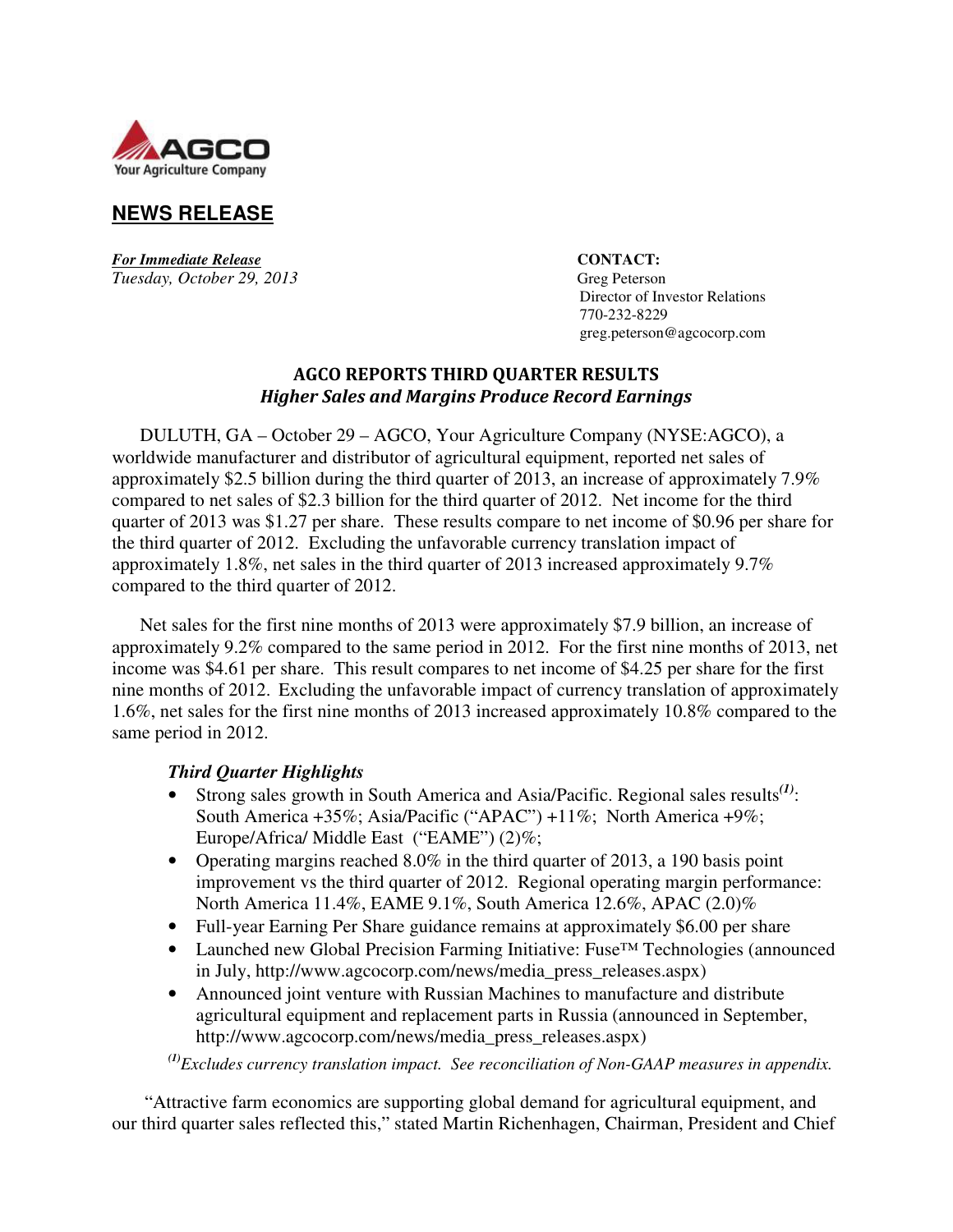

# **NEWS RELEASE**

*For Immediate Release* **CONTACT:** *Tuesday, October 29, 2013* Greg Peterson

 Director of Investor Relations 770-232-8229 greg.peterson@agcocorp.com

## AGCO REPORTS THIRD QUARTER RESULTS Higher Sales and Margins Produce Record Earnings

DULUTH, GA – October 29 – AGCO, Your Agriculture Company (NYSE:AGCO), a worldwide manufacturer and distributor of agricultural equipment, reported net sales of approximately \$2.5 billion during the third quarter of 2013, an increase of approximately 7.9% compared to net sales of \$2.3 billion for the third quarter of 2012. Net income for the third quarter of 2013 was \$1.27 per share. These results compare to net income of \$0.96 per share for the third quarter of 2012. Excluding the unfavorable currency translation impact of approximately 1.8%, net sales in the third quarter of 2013 increased approximately 9.7% compared to the third quarter of 2012.

Net sales for the first nine months of 2013 were approximately \$7.9 billion, an increase of approximately 9.2% compared to the same period in 2012. For the first nine months of 2013, net income was \$4.61 per share. This result compares to net income of \$4.25 per share for the first nine months of 2012. Excluding the unfavorable impact of currency translation of approximately 1.6%, net sales for the first nine months of 2013 increased approximately 10.8% compared to the same period in 2012.

# *Third Quarter Highlights*

- Strong sales growth in South America and Asia/Pacific. Regional sales results*(1)* : South America +35%; Asia/Pacific ("APAC") +11%; North America +9%; Europe/Africa/ Middle East ("EAME") (2)%;
- Operating margins reached 8.0% in the third quarter of 2013, a 190 basis point improvement vs the third quarter of 2012. Regional operating margin performance: North America 11.4%, EAME 9.1%, South America 12.6%, APAC (2.0)%
- Full-year Earning Per Share guidance remains at approximately \$6.00 per share
- Launched new Global Precision Farming Initiative: Fuse™ Technologies (announced in July, http://www.agcocorp.com/news/media\_press\_releases.aspx)
- Announced joint venture with Russian Machines to manufacture and distribute agricultural equipment and replacement parts in Russia (announced in September, http://www.agcocorp.com/news/media\_press\_releases.aspx)

*(1)Excludes currency translation impact. See reconciliation of Non-GAAP measures in appendix.* 

"Attractive farm economics are supporting global demand for agricultural equipment, and our third quarter sales reflected this," stated Martin Richenhagen, Chairman, President and Chief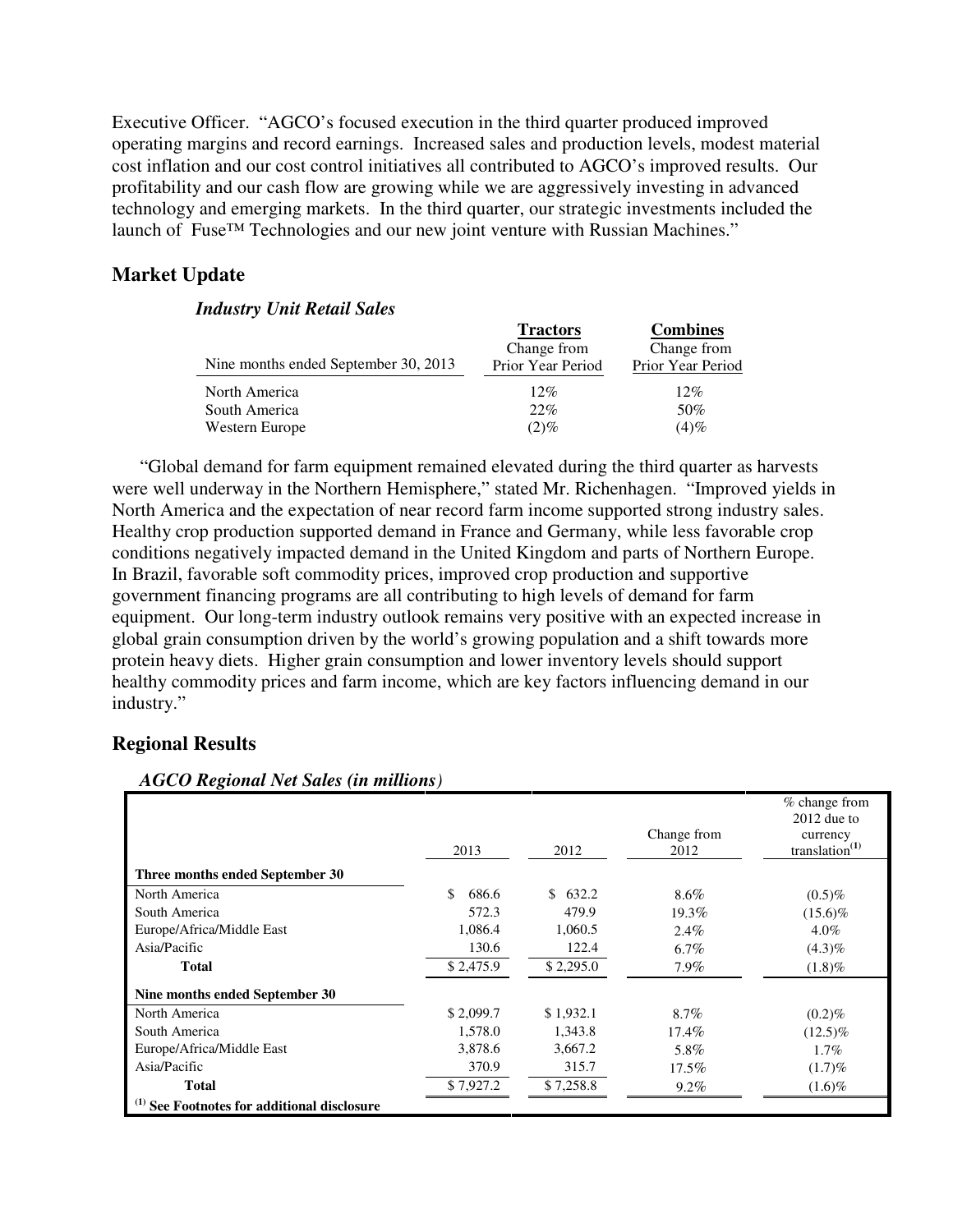Executive Officer. "AGCO's focused execution in the third quarter produced improved operating margins and record earnings. Increased sales and production levels, modest material cost inflation and our cost control initiatives all contributed to AGCO's improved results. Our profitability and our cash flow are growing while we are aggressively investing in advanced technology and emerging markets. In the third quarter, our strategic investments included the launch of Fuse<sup>™</sup> Technologies and our new joint venture with Russian Machines."

# **Market Update**

### *Industry Unit Retail Sales*

|                                      | <b>Tractors</b>   | <b>Combines</b>   |
|--------------------------------------|-------------------|-------------------|
|                                      | Change from       | Change from       |
| Nine months ended September 30, 2013 | Prior Year Period | Prior Year Period |
| North America                        | 12%               | $12\%$            |
| South America                        | 22%               | 50%               |
| Western Europe                       | $(2)\%$           | (4)%              |

"Global demand for farm equipment remained elevated during the third quarter as harvests were well underway in the Northern Hemisphere," stated Mr. Richenhagen. "Improved yields in North America and the expectation of near record farm income supported strong industry sales. Healthy crop production supported demand in France and Germany, while less favorable crop conditions negatively impacted demand in the United Kingdom and parts of Northern Europe. In Brazil, favorable soft commodity prices, improved crop production and supportive government financing programs are all contributing to high levels of demand for farm equipment. Our long-term industry outlook remains very positive with an expected increase in global grain consumption driven by the world's growing population and a shift towards more protein heavy diets. Higher grain consumption and lower inventory levels should support healthy commodity prices and farm income, which are key factors influencing demand in our industry."

# **Regional Results**

|                                               |             |              |             | % change from             |
|-----------------------------------------------|-------------|--------------|-------------|---------------------------|
|                                               |             |              | Change from | $2012$ due to<br>currency |
|                                               | 2013        | 2012         | 2012        | translation $(1)$         |
| Three months ended September 30               |             |              |             |                           |
| North America                                 | \$<br>686.6 | \$.<br>632.2 | $8.6\%$     | $(0.5)\%$                 |
| South America                                 | 572.3       | 479.9        | $19.3\%$    | $(15.6)\%$                |
| Europe/Africa/Middle East                     | 1,086.4     | 1,060.5      | $2.4\%$     | $4.0\%$                   |
| Asia/Pacific                                  | 130.6       | 122.4        | $6.7\%$     | $(4.3)\%$                 |
| <b>Total</b>                                  | \$2,475.9   | \$2,295.0    | $7.9\%$     | $(1.8)\%$                 |
| Nine months ended September 30                |             |              |             |                           |
| North America                                 | \$2,099.7   | \$1,932.1    | $8.7\%$     | $(0.2)\%$                 |
| South America                                 | 1,578.0     | 1,343.8      | $17.4\%$    | $(12.5)\%$                |
| Europe/Africa/Middle East                     | 3,878.6     | 3,667.2      | 5.8%        | $1.7\%$                   |
| Asia/Pacific                                  | 370.9       | 315.7        | $17.5\%$    | $(1.7)\%$                 |
| <b>Total</b>                                  | \$7,927.2   | \$7,258.8    | $9.2\%$     | $(1.6)\%$                 |
| $(1)$ See Footnotes for additional disclosure |             |              |             |                           |

*AGCO Regional Net Sales (in millions)*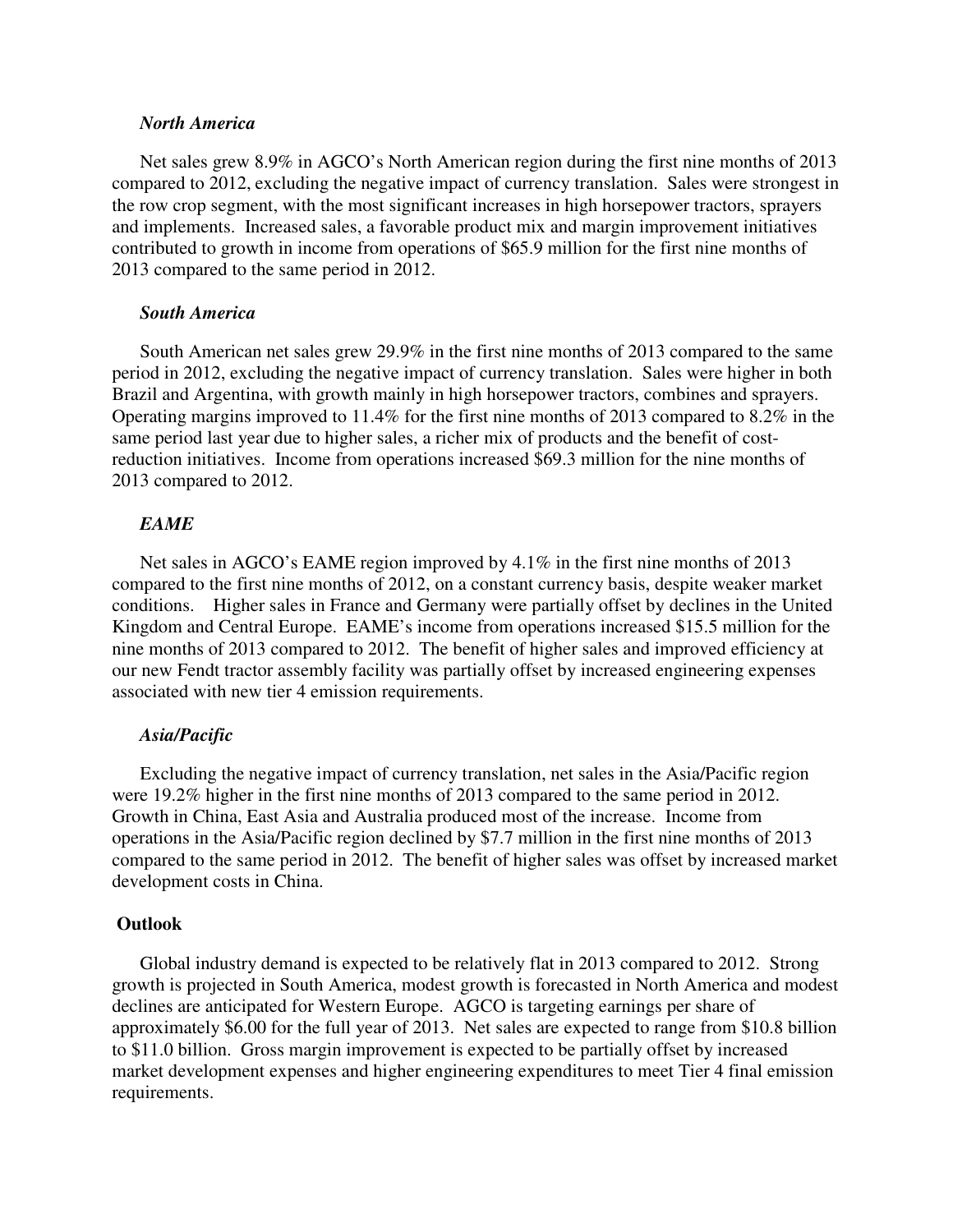### *North America*

Net sales grew 8.9% in AGCO's North American region during the first nine months of 2013 compared to 2012, excluding the negative impact of currency translation. Sales were strongest in the row crop segment, with the most significant increases in high horsepower tractors, sprayers and implements. Increased sales, a favorable product mix and margin improvement initiatives contributed to growth in income from operations of \$65.9 million for the first nine months of 2013 compared to the same period in 2012.

#### *South America*

South American net sales grew 29.9% in the first nine months of 2013 compared to the same period in 2012, excluding the negative impact of currency translation. Sales were higher in both Brazil and Argentina, with growth mainly in high horsepower tractors, combines and sprayers. Operating margins improved to 11.4% for the first nine months of 2013 compared to 8.2% in the same period last year due to higher sales, a richer mix of products and the benefit of costreduction initiatives. Income from operations increased \$69.3 million for the nine months of 2013 compared to 2012.

### *EAME*

Net sales in AGCO's EAME region improved by 4.1% in the first nine months of 2013 compared to the first nine months of 2012, on a constant currency basis, despite weaker market conditions. Higher sales in France and Germany were partially offset by declines in the United Kingdom and Central Europe. EAME's income from operations increased \$15.5 million for the nine months of 2013 compared to 2012. The benefit of higher sales and improved efficiency at our new Fendt tractor assembly facility was partially offset by increased engineering expenses associated with new tier 4 emission requirements.

### *Asia/Pacific*

Excluding the negative impact of currency translation, net sales in the Asia/Pacific region were 19.2% higher in the first nine months of 2013 compared to the same period in 2012. Growth in China, East Asia and Australia produced most of the increase. Income from operations in the Asia/Pacific region declined by \$7.7 million in the first nine months of 2013 compared to the same period in 2012. The benefit of higher sales was offset by increased market development costs in China.

#### **Outlook**

Global industry demand is expected to be relatively flat in 2013 compared to 2012. Strong growth is projected in South America, modest growth is forecasted in North America and modest declines are anticipated for Western Europe. AGCO is targeting earnings per share of approximately \$6.00 for the full year of 2013. Net sales are expected to range from \$10.8 billion to \$11.0 billion. Gross margin improvement is expected to be partially offset by increased market development expenses and higher engineering expenditures to meet Tier 4 final emission requirements.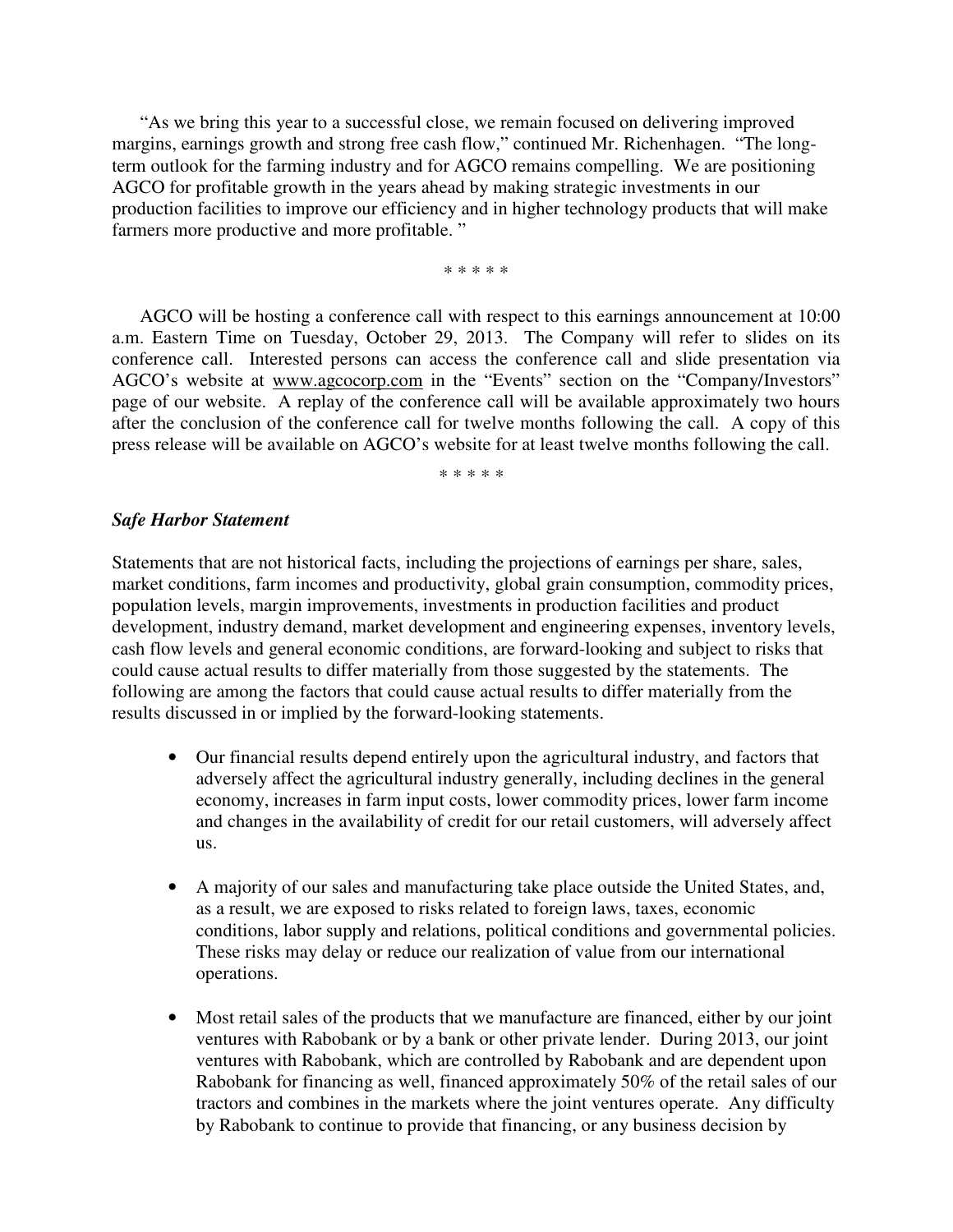"As we bring this year to a successful close, we remain focused on delivering improved margins, earnings growth and strong free cash flow," continued Mr. Richenhagen. "The longterm outlook for the farming industry and for AGCO remains compelling. We are positioning AGCO for profitable growth in the years ahead by making strategic investments in our production facilities to improve our efficiency and in higher technology products that will make farmers more productive and more profitable. "

\* \* \* \* \*

AGCO will be hosting a conference call with respect to this earnings announcement at 10:00 a.m. Eastern Time on Tuesday, October 29, 2013. The Company will refer to slides on its conference call. Interested persons can access the conference call and slide presentation via AGCO's website at www.agcocorp.com in the "Events" section on the "Company/Investors" page of our website. A replay of the conference call will be available approximately two hours after the conclusion of the conference call for twelve months following the call. A copy of this press release will be available on AGCO's website for at least twelve months following the call.

\* \* \* \* \*

#### *Safe Harbor Statement*

Statements that are not historical facts, including the projections of earnings per share, sales, market conditions, farm incomes and productivity, global grain consumption, commodity prices, population levels, margin improvements, investments in production facilities and product development, industry demand, market development and engineering expenses, inventory levels, cash flow levels and general economic conditions, are forward-looking and subject to risks that could cause actual results to differ materially from those suggested by the statements. The following are among the factors that could cause actual results to differ materially from the results discussed in or implied by the forward-looking statements.

- Our financial results depend entirely upon the agricultural industry, and factors that adversely affect the agricultural industry generally, including declines in the general economy, increases in farm input costs, lower commodity prices, lower farm income and changes in the availability of credit for our retail customers, will adversely affect us.
- A majority of our sales and manufacturing take place outside the United States, and, as a result, we are exposed to risks related to foreign laws, taxes, economic conditions, labor supply and relations, political conditions and governmental policies. These risks may delay or reduce our realization of value from our international operations.
- Most retail sales of the products that we manufacture are financed, either by our joint ventures with Rabobank or by a bank or other private lender. During 2013, our joint ventures with Rabobank, which are controlled by Rabobank and are dependent upon Rabobank for financing as well, financed approximately 50% of the retail sales of our tractors and combines in the markets where the joint ventures operate. Any difficulty by Rabobank to continue to provide that financing, or any business decision by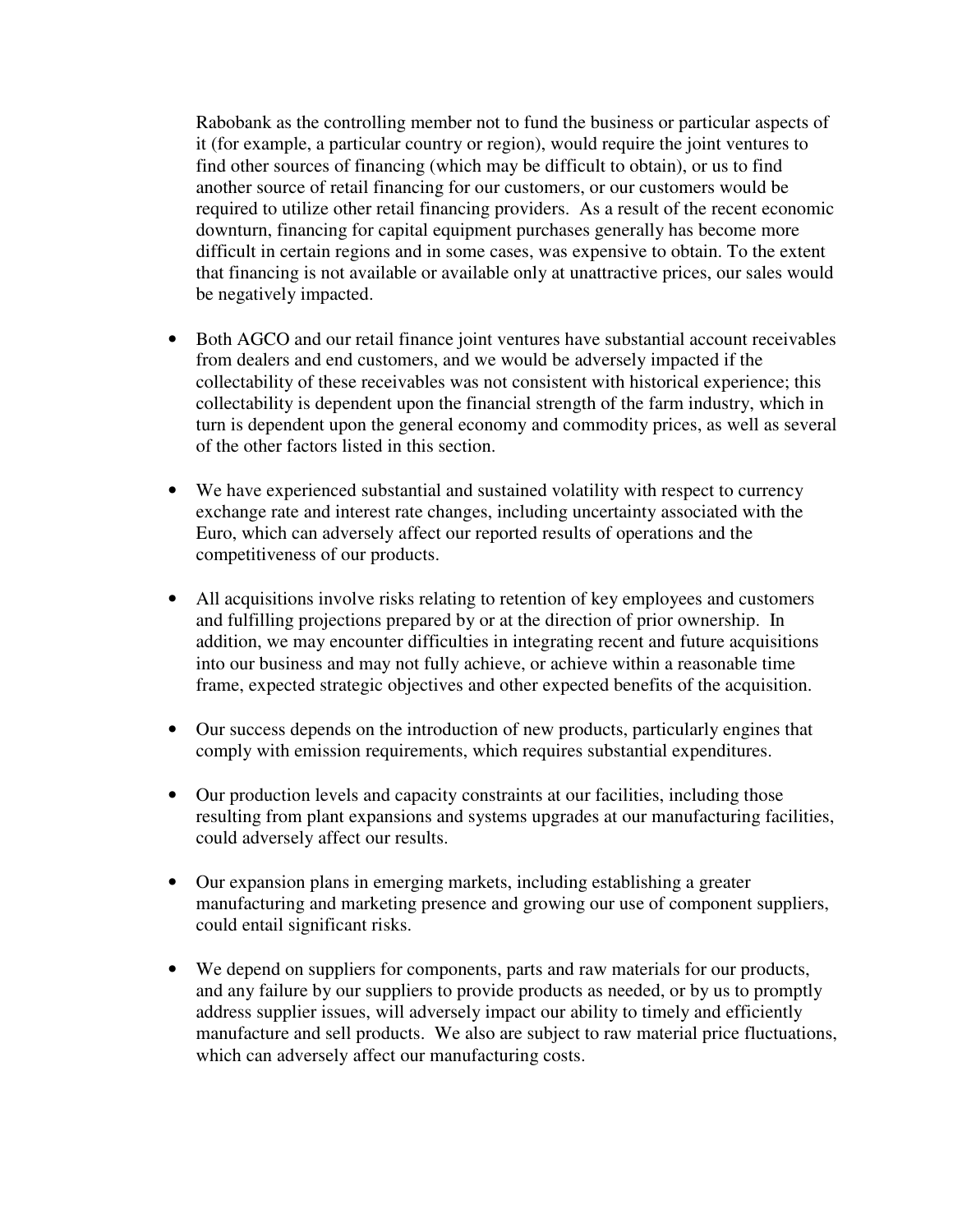Rabobank as the controlling member not to fund the business or particular aspects of it (for example, a particular country or region), would require the joint ventures to find other sources of financing (which may be difficult to obtain), or us to find another source of retail financing for our customers, or our customers would be required to utilize other retail financing providers. As a result of the recent economic downturn, financing for capital equipment purchases generally has become more difficult in certain regions and in some cases, was expensive to obtain. To the extent that financing is not available or available only at unattractive prices, our sales would be negatively impacted.

- Both AGCO and our retail finance joint ventures have substantial account receivables from dealers and end customers, and we would be adversely impacted if the collectability of these receivables was not consistent with historical experience; this collectability is dependent upon the financial strength of the farm industry, which in turn is dependent upon the general economy and commodity prices, as well as several of the other factors listed in this section.
- We have experienced substantial and sustained volatility with respect to currency exchange rate and interest rate changes, including uncertainty associated with the Euro, which can adversely affect our reported results of operations and the competitiveness of our products.
- All acquisitions involve risks relating to retention of key employees and customers and fulfilling projections prepared by or at the direction of prior ownership. In addition, we may encounter difficulties in integrating recent and future acquisitions into our business and may not fully achieve, or achieve within a reasonable time frame, expected strategic objectives and other expected benefits of the acquisition.
- Our success depends on the introduction of new products, particularly engines that comply with emission requirements, which requires substantial expenditures.
- Our production levels and capacity constraints at our facilities, including those resulting from plant expansions and systems upgrades at our manufacturing facilities, could adversely affect our results.
- Our expansion plans in emerging markets, including establishing a greater manufacturing and marketing presence and growing our use of component suppliers, could entail significant risks.
- We depend on suppliers for components, parts and raw materials for our products, and any failure by our suppliers to provide products as needed, or by us to promptly address supplier issues, will adversely impact our ability to timely and efficiently manufacture and sell products. We also are subject to raw material price fluctuations, which can adversely affect our manufacturing costs.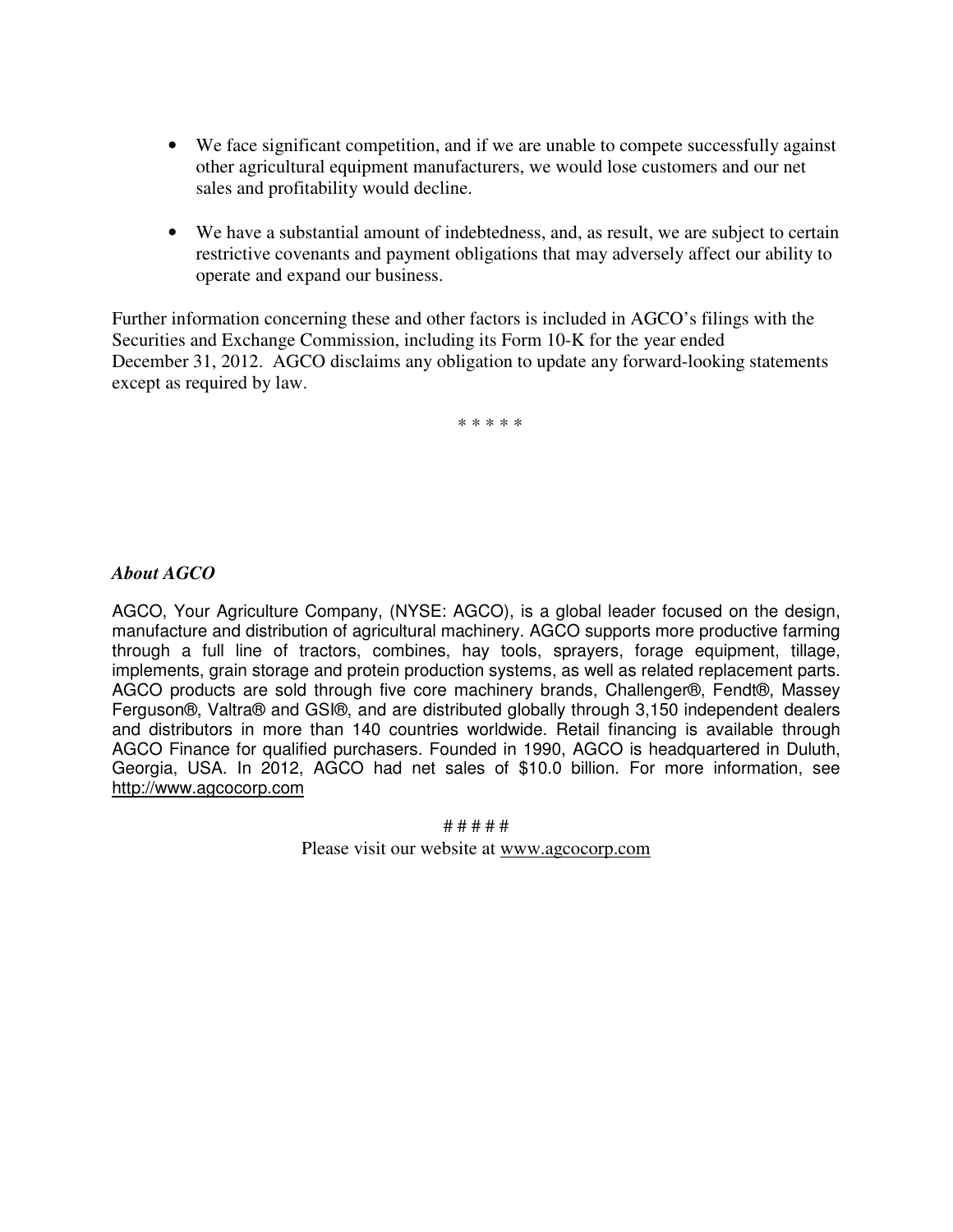- We face significant competition, and if we are unable to compete successfully against other agricultural equipment manufacturers, we would lose customers and our net sales and profitability would decline.
- We have a substantial amount of indebtedness, and, as result, we are subject to certain restrictive covenants and payment obligations that may adversely affect our ability to operate and expand our business.

Further information concerning these and other factors is included in AGCO's filings with the Securities and Exchange Commission, including its Form 10-K for the year ended December 31, 2012. AGCO disclaims any obligation to update any forward-looking statements except as required by law.

\* \* \* \* \*

## *About AGCO*

AGCO, Your Agriculture Company, (NYSE: AGCO), is a global leader focused on the design, manufacture and distribution of agricultural machinery. AGCO supports more productive farming through a full line of tractors, combines, hay tools, sprayers, forage equipment, tillage, implements, grain storage and protein production systems, as well as related replacement parts. AGCO products are sold through five core machinery brands, Challenger®, Fendt®, Massey Ferguson®, Valtra® and GSI®, and are distributed globally through 3,150 independent dealers and distributors in more than 140 countries worldwide. Retail financing is available through AGCO Finance for qualified purchasers. Founded in 1990, AGCO is headquartered in Duluth, Georgia, USA. In 2012, AGCO had net sales of \$10.0 billion. For more information, see http://www.agcocorp.com

> # # # # # Please visit our website at www.agcocorp.com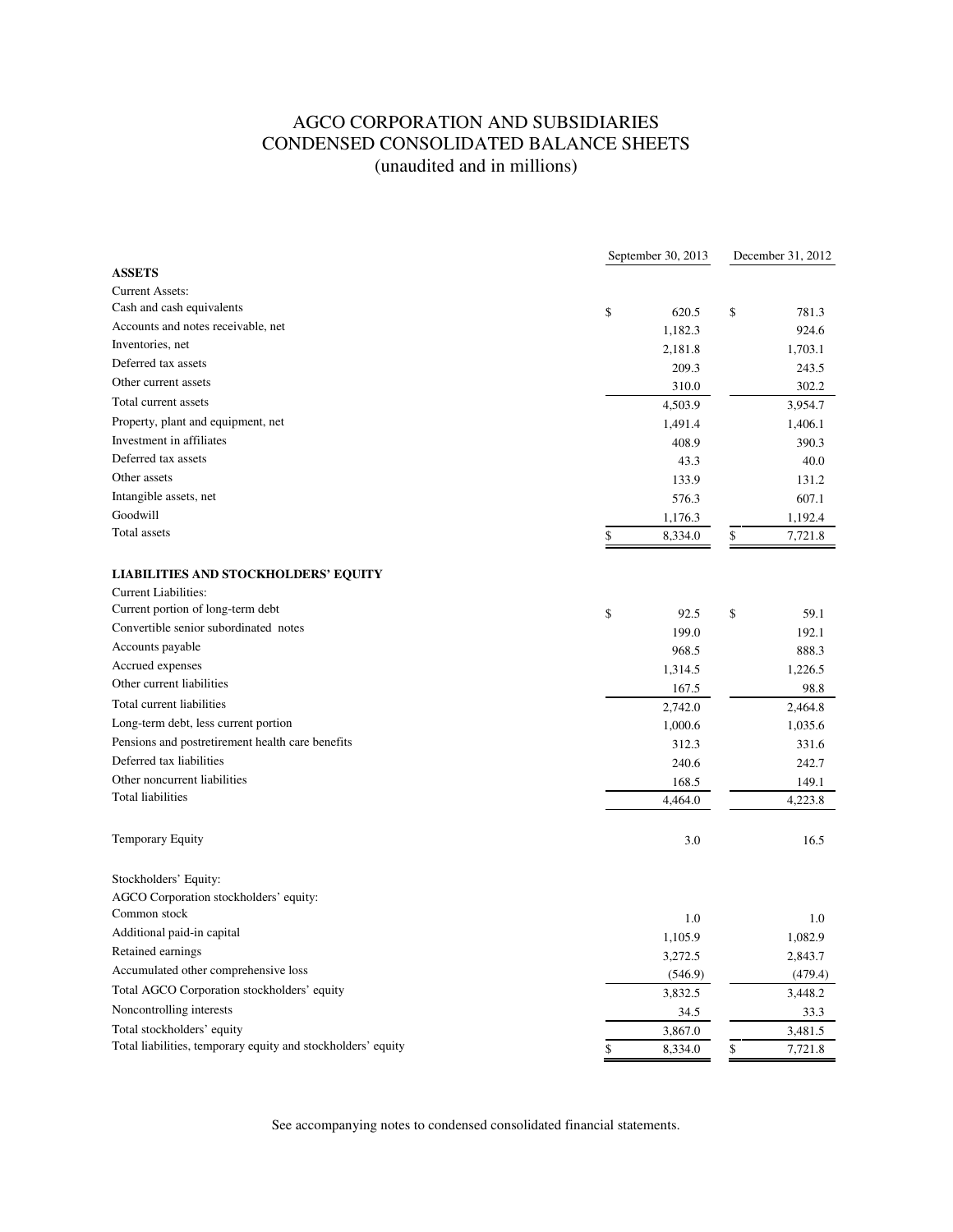# AGCO CORPORATION AND SUBSIDIARIES CONDENSED CONSOLIDATED BALANCE SHEETS (unaudited and in millions)

|                                                              | September 30, 2013 |    |         |
|--------------------------------------------------------------|--------------------|----|---------|
| <b>ASSETS</b>                                                |                    |    |         |
| <b>Current Assets:</b>                                       |                    |    |         |
| Cash and cash equivalents                                    | \$<br>620.5        | \$ | 781.3   |
| Accounts and notes receivable, net                           | 1,182.3            |    | 924.6   |
| Inventories, net                                             | 2,181.8            |    | 1,703.1 |
| Deferred tax assets                                          | 209.3              |    | 243.5   |
| Other current assets                                         | 310.0              |    | 302.2   |
| Total current assets                                         | 4,503.9            |    | 3,954.7 |
| Property, plant and equipment, net                           | 1,491.4            |    | 1,406.1 |
| Investment in affiliates                                     | 408.9              |    | 390.3   |
| Deferred tax assets                                          | 43.3               |    | 40.0    |
| Other assets                                                 | 133.9              |    | 131.2   |
| Intangible assets, net                                       | 576.3              |    | 607.1   |
| Goodwill                                                     | 1,176.3            |    | 1,192.4 |
| Total assets                                                 | \$<br>8,334.0      | \$ | 7,721.8 |
|                                                              |                    |    |         |
| <b>LIABILITIES AND STOCKHOLDERS' EQUITY</b>                  |                    |    |         |
| <b>Current Liabilities:</b>                                  |                    |    |         |
| Current portion of long-term debt                            | \$<br>92.5         | \$ | 59.1    |
| Convertible senior subordinated notes                        | 199.0              |    | 192.1   |
| Accounts payable                                             | 968.5              |    | 888.3   |
| Accrued expenses                                             | 1,314.5            |    | 1,226.5 |
| Other current liabilities                                    | 167.5              |    | 98.8    |
| Total current liabilities                                    | 2,742.0            |    | 2,464.8 |
| Long-term debt, less current portion                         | 1,000.6            |    | 1,035.6 |
| Pensions and postretirement health care benefits             | 312.3              |    | 331.6   |
| Deferred tax liabilities                                     | 240.6              |    | 242.7   |
| Other noncurrent liabilities                                 | 168.5              |    | 149.1   |
| <b>Total liabilities</b>                                     | 4,464.0            |    | 4,223.8 |
|                                                              |                    |    |         |
| <b>Temporary Equity</b>                                      | 3.0                |    | 16.5    |
|                                                              |                    |    |         |
| Stockholders' Equity:                                        |                    |    |         |
| AGCO Corporation stockholders' equity:                       |                    |    |         |
| Common stock                                                 | 1.0                |    | 1.0     |
| Additional paid-in capital                                   | 1,105.9            |    | 1,082.9 |
| Retained earnings                                            | 3,272.5            |    | 2,843.7 |
| Accumulated other comprehensive loss                         | (546.9)            |    | (479.4) |
| Total AGCO Corporation stockholders' equity                  | 3,832.5            |    | 3,448.2 |
| Noncontrolling interests                                     | 34.5               |    | 33.3    |
| Total stockholders' equity                                   | 3,867.0            |    | 3,481.5 |
| Total liabilities, temporary equity and stockholders' equity | \$                 | \$ |         |
|                                                              | 8,334.0            |    | 7,721.8 |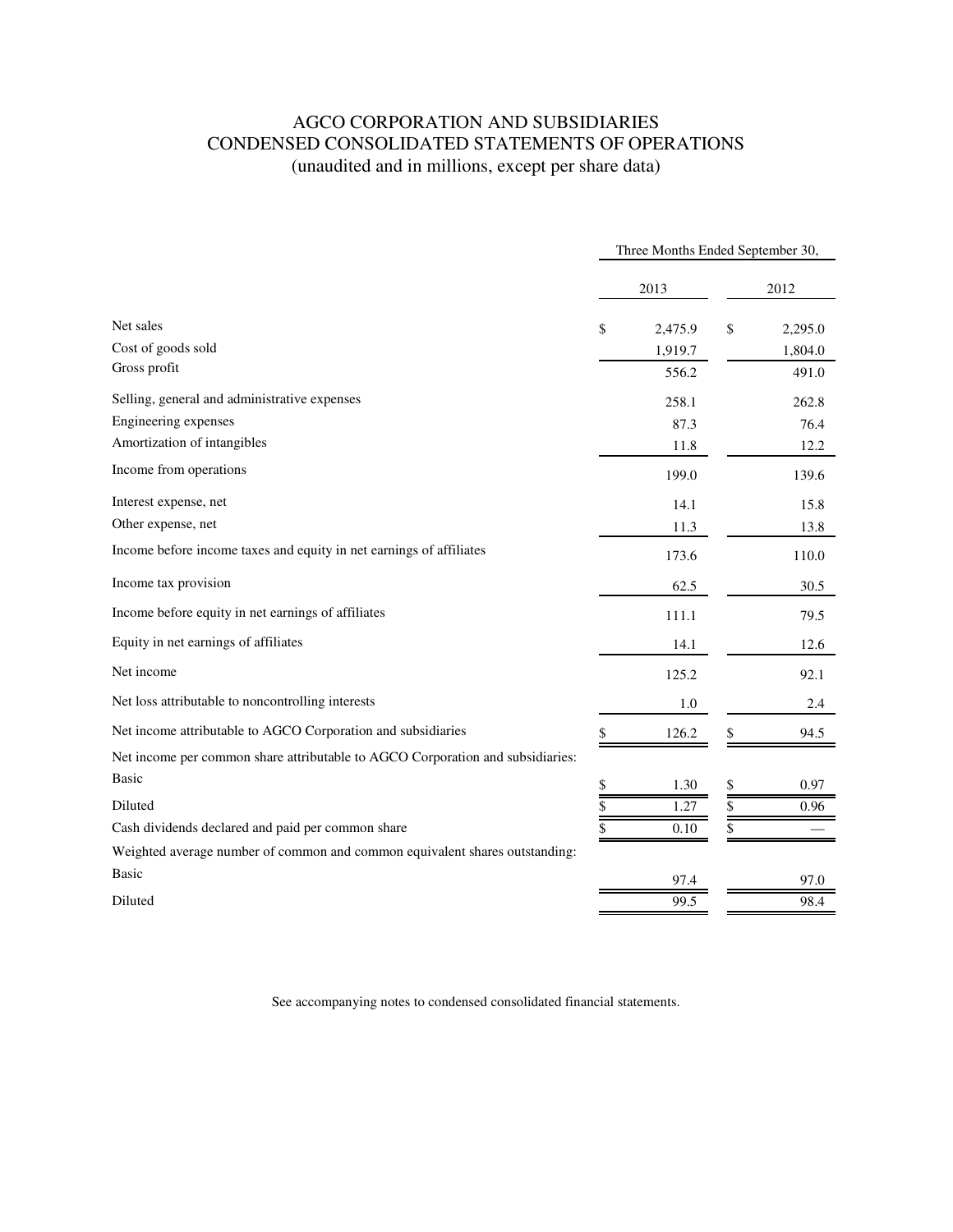# AGCO CORPORATION AND SUBSIDIARIES CONDENSED CONSOLIDATED STATEMENTS OF OPERATIONS (unaudited and in millions, except per share data)

|                                                                                | 2013          |               |
|--------------------------------------------------------------------------------|---------------|---------------|
|                                                                                |               | 2012          |
| Net sales                                                                      | \$<br>2,475.9 | \$<br>2,295.0 |
| Cost of goods sold                                                             | 1,919.7       | 1,804.0       |
| Gross profit                                                                   | 556.2         | 491.0         |
| Selling, general and administrative expenses                                   | 258.1         | 262.8         |
| Engineering expenses                                                           | 87.3          | 76.4          |
| Amortization of intangibles                                                    | 11.8          | 12.2          |
| Income from operations                                                         | 199.0         | 139.6         |
| Interest expense, net                                                          | 14.1          | 15.8          |
| Other expense, net                                                             | 11.3          | 13.8          |
| Income before income taxes and equity in net earnings of affiliates            | 173.6         | 110.0         |
| Income tax provision                                                           | 62.5          | 30.5          |
| Income before equity in net earnings of affiliates                             | 111.1         | 79.5          |
| Equity in net earnings of affiliates                                           | 14.1          | 12.6          |
| Net income                                                                     | 125.2         | 92.1          |
| Net loss attributable to noncontrolling interests                              | 1.0           | 2.4           |
| Net income attributable to AGCO Corporation and subsidiaries                   | \$<br>126.2   | \$<br>94.5    |
| Net income per common share attributable to AGCO Corporation and subsidiaries: |               |               |
| <b>Basic</b>                                                                   | \$<br>1.30    | \$<br>0.97    |
| Diluted                                                                        | \$<br>1.27    | \$<br>0.96    |
| Cash dividends declared and paid per common share                              | \$<br>0.10    | \$            |
| Weighted average number of common and common equivalent shares outstanding:    |               |               |
| <b>Basic</b>                                                                   | 97.4          | 97.0          |
| Diluted                                                                        | 99.5          | 98.4          |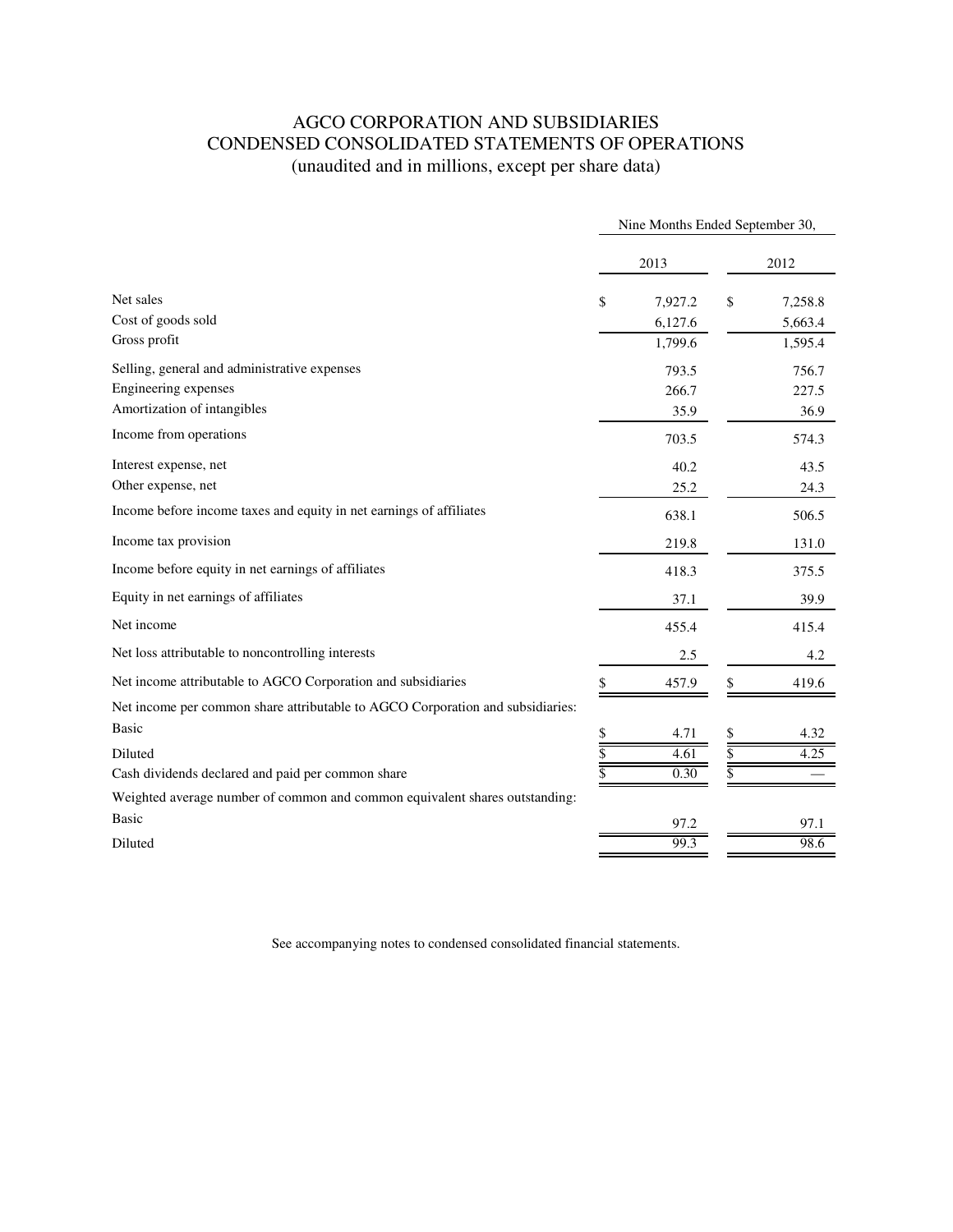# AGCO CORPORATION AND SUBSIDIARIES CONDENSED CONSOLIDATED STATEMENTS OF OPERATIONS (unaudited and in millions, except per share data)

|                                                                                | Nine Months Ended September 30, |               |
|--------------------------------------------------------------------------------|---------------------------------|---------------|
|                                                                                | 2013                            | 2012          |
| Net sales                                                                      | \$<br>7,927.2                   | \$<br>7,258.8 |
| Cost of goods sold                                                             | 6,127.6                         | 5,663.4       |
| Gross profit                                                                   | 1,799.6                         | 1,595.4       |
| Selling, general and administrative expenses                                   | 793.5                           | 756.7         |
| Engineering expenses                                                           | 266.7                           | 227.5         |
| Amortization of intangibles                                                    | 35.9                            | 36.9          |
| Income from operations                                                         | 703.5                           | 574.3         |
| Interest expense, net                                                          | 40.2                            | 43.5          |
| Other expense, net                                                             | 25.2                            | 24.3          |
| Income before income taxes and equity in net earnings of affiliates            | 638.1                           | 506.5         |
| Income tax provision                                                           | 219.8                           | 131.0         |
| Income before equity in net earnings of affiliates                             | 418.3                           | 375.5         |
| Equity in net earnings of affiliates                                           | 37.1                            | 39.9          |
| Net income                                                                     | 455.4                           | 415.4         |
| Net loss attributable to noncontrolling interests                              | 2.5                             | 4.2           |
| Net income attributable to AGCO Corporation and subsidiaries                   | \$<br>457.9                     | \$<br>419.6   |
| Net income per common share attributable to AGCO Corporation and subsidiaries: |                                 |               |
| <b>Basic</b>                                                                   | \$<br>4.71                      | \$<br>4.32    |
| Diluted                                                                        | \$<br>4.61                      | 4.25          |
| Cash dividends declared and paid per common share                              | \$<br>0.30                      | \$            |
| Weighted average number of common and common equivalent shares outstanding:    |                                 |               |
| <b>Basic</b>                                                                   | 97.2                            | 97.1          |
| Diluted                                                                        | 99.3                            | 98.6          |
|                                                                                |                                 |               |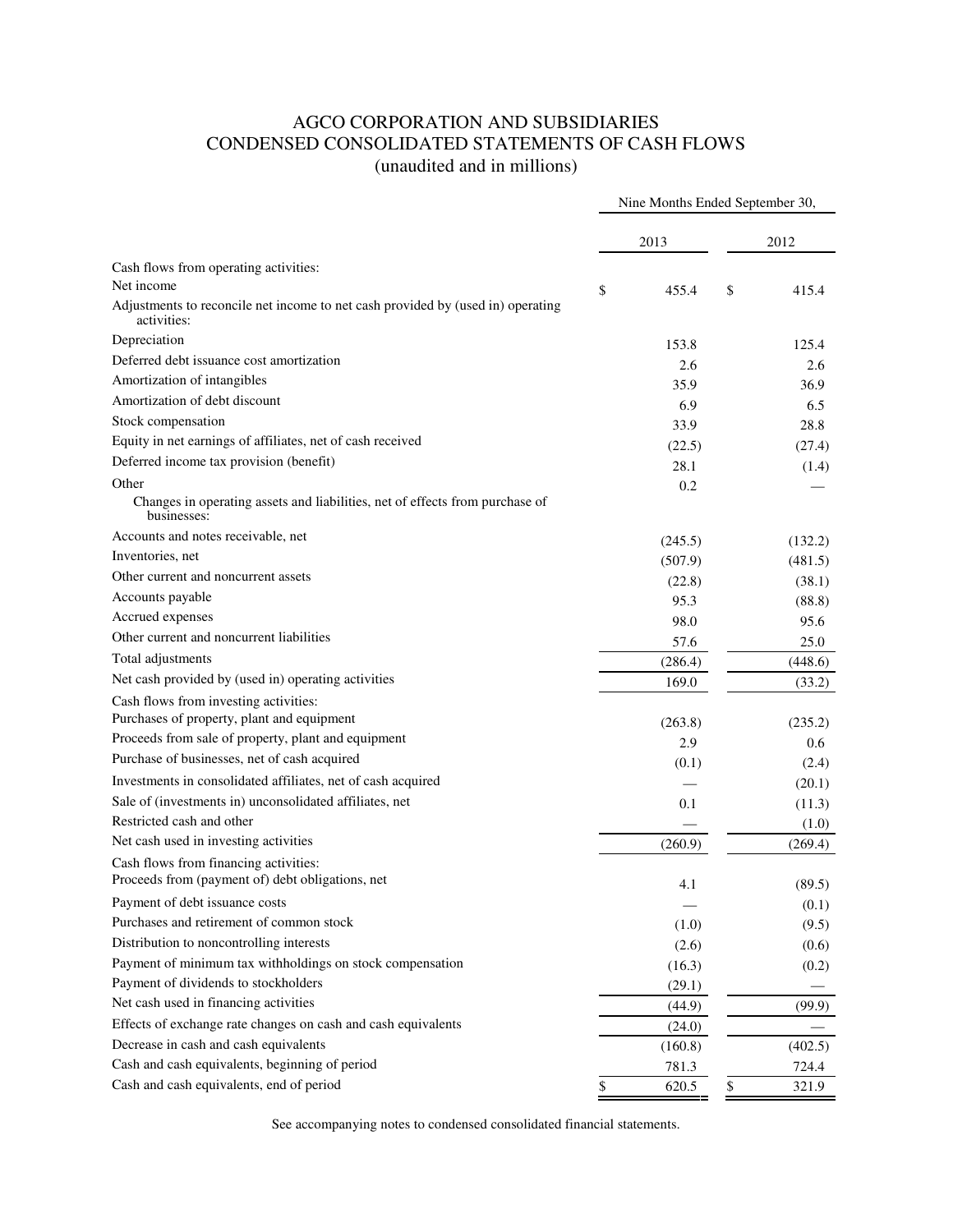# AGCO CORPORATION AND SUBSIDIARIES CONDENSED CONSOLIDATED STATEMENTS OF CASH FLOWS (unaudited and in millions)

| 2013<br>2012<br>\$<br>455.4<br>\$<br>415.4<br>activities:<br>153.8<br>125.4<br>2.6<br>2.6<br>35.9<br>36.9<br>Amortization of debt discount<br>6.9<br>6.5<br>33.9<br>28.8<br>(22.5)<br>(27.4)<br>28.1<br>(1.4)<br>0.2<br>Changes in operating assets and liabilities, net of effects from purchase of<br>businesses:<br>(245.5)<br>(132.2)<br>(507.9)<br>(481.5)<br>(22.8)<br>(38.1)<br>95.3<br>(88.8)<br>98.0<br>95.6<br>57.6<br>25.0<br>(286.4)<br>(448.6)<br>169.0<br>(33.2)<br>(263.8)<br>(235.2)<br>2.9<br>0.6<br>(0.1)<br>(2.4)<br>(20.1)<br>0.1<br>(11.3)<br>(1.0)<br>(260.9)<br>(269.4)<br>(89.5)<br>4.1<br>Payment of debt issuance costs<br>(0.1)<br>(9.5)<br>(1.0)<br>(0.6)<br>(2.6)<br>Payment of minimum tax withholdings on stock compensation<br>(16.3)<br>(0.2)<br>(29.1)<br>(99.9)<br>(44.9)<br>Effects of exchange rate changes on cash and cash equivalents<br>(24.0)<br>(402.5)<br>(160.8)<br>781.3<br>724.4<br>321.9<br>620.5<br>\$<br>\$ |                                                                                           | Nine Months Ended September 30, |  |
|---------------------------------------------------------------------------------------------------------------------------------------------------------------------------------------------------------------------------------------------------------------------------------------------------------------------------------------------------------------------------------------------------------------------------------------------------------------------------------------------------------------------------------------------------------------------------------------------------------------------------------------------------------------------------------------------------------------------------------------------------------------------------------------------------------------------------------------------------------------------------------------------------------------------------------------------------------------|-------------------------------------------------------------------------------------------|---------------------------------|--|
|                                                                                                                                                                                                                                                                                                                                                                                                                                                                                                                                                                                                                                                                                                                                                                                                                                                                                                                                                               |                                                                                           |                                 |  |
|                                                                                                                                                                                                                                                                                                                                                                                                                                                                                                                                                                                                                                                                                                                                                                                                                                                                                                                                                               | Cash flows from operating activities:                                                     |                                 |  |
|                                                                                                                                                                                                                                                                                                                                                                                                                                                                                                                                                                                                                                                                                                                                                                                                                                                                                                                                                               | Net income                                                                                |                                 |  |
|                                                                                                                                                                                                                                                                                                                                                                                                                                                                                                                                                                                                                                                                                                                                                                                                                                                                                                                                                               | Adjustments to reconcile net income to net cash provided by (used in) operating           |                                 |  |
|                                                                                                                                                                                                                                                                                                                                                                                                                                                                                                                                                                                                                                                                                                                                                                                                                                                                                                                                                               | Depreciation                                                                              |                                 |  |
|                                                                                                                                                                                                                                                                                                                                                                                                                                                                                                                                                                                                                                                                                                                                                                                                                                                                                                                                                               | Deferred debt issuance cost amortization                                                  |                                 |  |
|                                                                                                                                                                                                                                                                                                                                                                                                                                                                                                                                                                                                                                                                                                                                                                                                                                                                                                                                                               | Amortization of intangibles                                                               |                                 |  |
|                                                                                                                                                                                                                                                                                                                                                                                                                                                                                                                                                                                                                                                                                                                                                                                                                                                                                                                                                               |                                                                                           |                                 |  |
|                                                                                                                                                                                                                                                                                                                                                                                                                                                                                                                                                                                                                                                                                                                                                                                                                                                                                                                                                               | Stock compensation                                                                        |                                 |  |
|                                                                                                                                                                                                                                                                                                                                                                                                                                                                                                                                                                                                                                                                                                                                                                                                                                                                                                                                                               | Equity in net earnings of affiliates, net of cash received                                |                                 |  |
|                                                                                                                                                                                                                                                                                                                                                                                                                                                                                                                                                                                                                                                                                                                                                                                                                                                                                                                                                               | Deferred income tax provision (benefit)                                                   |                                 |  |
|                                                                                                                                                                                                                                                                                                                                                                                                                                                                                                                                                                                                                                                                                                                                                                                                                                                                                                                                                               | Other                                                                                     |                                 |  |
|                                                                                                                                                                                                                                                                                                                                                                                                                                                                                                                                                                                                                                                                                                                                                                                                                                                                                                                                                               |                                                                                           |                                 |  |
|                                                                                                                                                                                                                                                                                                                                                                                                                                                                                                                                                                                                                                                                                                                                                                                                                                                                                                                                                               | Accounts and notes receivable, net                                                        |                                 |  |
|                                                                                                                                                                                                                                                                                                                                                                                                                                                                                                                                                                                                                                                                                                                                                                                                                                                                                                                                                               | Inventories, net                                                                          |                                 |  |
|                                                                                                                                                                                                                                                                                                                                                                                                                                                                                                                                                                                                                                                                                                                                                                                                                                                                                                                                                               | Other current and noncurrent assets                                                       |                                 |  |
|                                                                                                                                                                                                                                                                                                                                                                                                                                                                                                                                                                                                                                                                                                                                                                                                                                                                                                                                                               | Accounts payable                                                                          |                                 |  |
|                                                                                                                                                                                                                                                                                                                                                                                                                                                                                                                                                                                                                                                                                                                                                                                                                                                                                                                                                               | Accrued expenses                                                                          |                                 |  |
|                                                                                                                                                                                                                                                                                                                                                                                                                                                                                                                                                                                                                                                                                                                                                                                                                                                                                                                                                               | Other current and noncurrent liabilities                                                  |                                 |  |
|                                                                                                                                                                                                                                                                                                                                                                                                                                                                                                                                                                                                                                                                                                                                                                                                                                                                                                                                                               | Total adjustments                                                                         |                                 |  |
|                                                                                                                                                                                                                                                                                                                                                                                                                                                                                                                                                                                                                                                                                                                                                                                                                                                                                                                                                               | Net cash provided by (used in) operating activities                                       |                                 |  |
|                                                                                                                                                                                                                                                                                                                                                                                                                                                                                                                                                                                                                                                                                                                                                                                                                                                                                                                                                               | Cash flows from investing activities:                                                     |                                 |  |
|                                                                                                                                                                                                                                                                                                                                                                                                                                                                                                                                                                                                                                                                                                                                                                                                                                                                                                                                                               | Purchases of property, plant and equipment                                                |                                 |  |
|                                                                                                                                                                                                                                                                                                                                                                                                                                                                                                                                                                                                                                                                                                                                                                                                                                                                                                                                                               | Proceeds from sale of property, plant and equipment                                       |                                 |  |
|                                                                                                                                                                                                                                                                                                                                                                                                                                                                                                                                                                                                                                                                                                                                                                                                                                                                                                                                                               | Purchase of businesses, net of cash acquired                                              |                                 |  |
|                                                                                                                                                                                                                                                                                                                                                                                                                                                                                                                                                                                                                                                                                                                                                                                                                                                                                                                                                               | Investments in consolidated affiliates, net of cash acquired                              |                                 |  |
|                                                                                                                                                                                                                                                                                                                                                                                                                                                                                                                                                                                                                                                                                                                                                                                                                                                                                                                                                               | Sale of (investments in) unconsolidated affiliates, net                                   |                                 |  |
|                                                                                                                                                                                                                                                                                                                                                                                                                                                                                                                                                                                                                                                                                                                                                                                                                                                                                                                                                               | Restricted cash and other                                                                 |                                 |  |
|                                                                                                                                                                                                                                                                                                                                                                                                                                                                                                                                                                                                                                                                                                                                                                                                                                                                                                                                                               | Net cash used in investing activities                                                     |                                 |  |
|                                                                                                                                                                                                                                                                                                                                                                                                                                                                                                                                                                                                                                                                                                                                                                                                                                                                                                                                                               | Cash flows from financing activities:<br>Proceeds from (payment of) debt obligations, net |                                 |  |
|                                                                                                                                                                                                                                                                                                                                                                                                                                                                                                                                                                                                                                                                                                                                                                                                                                                                                                                                                               |                                                                                           |                                 |  |
|                                                                                                                                                                                                                                                                                                                                                                                                                                                                                                                                                                                                                                                                                                                                                                                                                                                                                                                                                               | Purchases and retirement of common stock                                                  |                                 |  |
|                                                                                                                                                                                                                                                                                                                                                                                                                                                                                                                                                                                                                                                                                                                                                                                                                                                                                                                                                               | Distribution to noncontrolling interests                                                  |                                 |  |
|                                                                                                                                                                                                                                                                                                                                                                                                                                                                                                                                                                                                                                                                                                                                                                                                                                                                                                                                                               |                                                                                           |                                 |  |
|                                                                                                                                                                                                                                                                                                                                                                                                                                                                                                                                                                                                                                                                                                                                                                                                                                                                                                                                                               | Payment of dividends to stockholders                                                      |                                 |  |
|                                                                                                                                                                                                                                                                                                                                                                                                                                                                                                                                                                                                                                                                                                                                                                                                                                                                                                                                                               | Net cash used in financing activities                                                     |                                 |  |
|                                                                                                                                                                                                                                                                                                                                                                                                                                                                                                                                                                                                                                                                                                                                                                                                                                                                                                                                                               |                                                                                           |                                 |  |
|                                                                                                                                                                                                                                                                                                                                                                                                                                                                                                                                                                                                                                                                                                                                                                                                                                                                                                                                                               | Decrease in cash and cash equivalents                                                     |                                 |  |
|                                                                                                                                                                                                                                                                                                                                                                                                                                                                                                                                                                                                                                                                                                                                                                                                                                                                                                                                                               | Cash and cash equivalents, beginning of period                                            |                                 |  |
|                                                                                                                                                                                                                                                                                                                                                                                                                                                                                                                                                                                                                                                                                                                                                                                                                                                                                                                                                               | Cash and cash equivalents, end of period                                                  |                                 |  |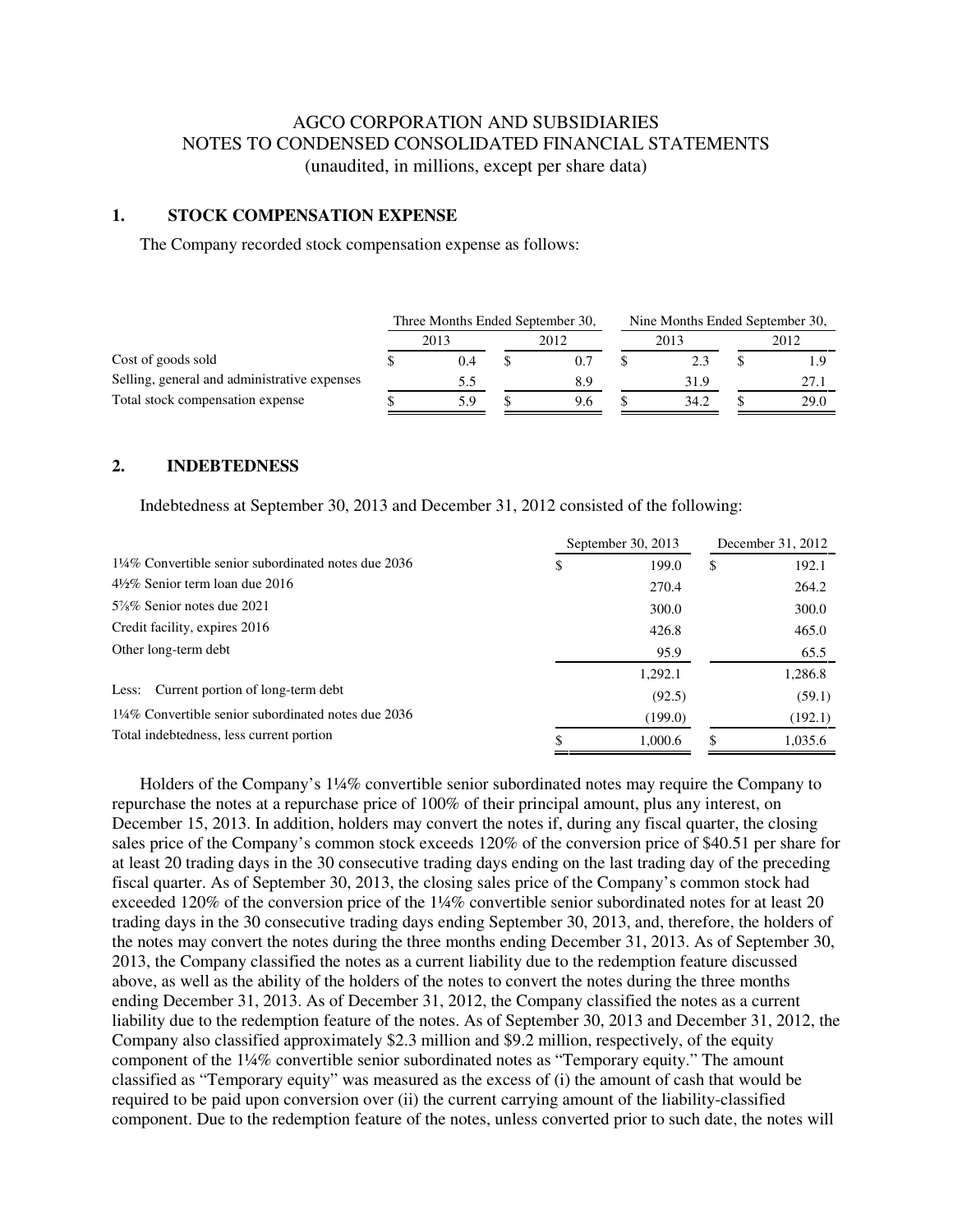## AGCO CORPORATION AND SUBSIDIARIES NOTES TO CONDENSED CONSOLIDATED FINANCIAL STATEMENTS (unaudited, in millions, except per share data)

#### **1. STOCK COMPENSATION EXPENSE**

The Company recorded stock compensation expense as follows:

|                                              | Three Months Ended September 30, |      |      |     |      | Nine Months Ended September 30, |      |      |  |  |
|----------------------------------------------|----------------------------------|------|------|-----|------|---------------------------------|------|------|--|--|
|                                              |                                  | 2013 | 2012 |     | 2013 |                                 | 2012 |      |  |  |
| Cost of goods sold                           |                                  | 0.4  |      | 0.7 |      |                                 |      |      |  |  |
| Selling, general and administrative expenses |                                  | 5.5  |      | 8.S |      | 31.9                            |      | 27.1 |  |  |
| Total stock compensation expense             | 5.9                              |      | 9.6  |     | 34.2 |                                 |      | 29.0 |  |  |

#### **2. INDEBTEDNESS**

Indebtedness at September 30, 2013 and December 31, 2012 consisted of the following:

|                                                    | September 30, 2013 |         |    | December 31, 2012 |  |  |
|----------------------------------------------------|--------------------|---------|----|-------------------|--|--|
| 1¼% Convertible senior subordinated notes due 2036 | \$                 | 199.0   | \$ | 192.1             |  |  |
| $4\frac{1}{2}\%$ Senior term loan due 2016         |                    | 270.4   |    | 264.2             |  |  |
| $5\%$ % Senior notes due 2021                      |                    | 300.0   |    | 300.0             |  |  |
| Credit facility, expires 2016                      |                    | 426.8   |    | 465.0             |  |  |
| Other long-term debt                               |                    | 95.9    |    | 65.5              |  |  |
|                                                    |                    | 1,292.1 |    | 1,286.8           |  |  |
| Current portion of long-term debt<br>Less:         |                    | (92.5)  |    | (59.1)            |  |  |
| 1¼% Convertible senior subordinated notes due 2036 |                    | (199.0) |    | (192.1)           |  |  |
| Total indebtedness, less current portion           |                    | 1.000.6 | \$ | 1,035.6           |  |  |

Holders of the Company's 1¼% convertible senior subordinated notes may require the Company to repurchase the notes at a repurchase price of 100% of their principal amount, plus any interest, on December 15, 2013. In addition, holders may convert the notes if, during any fiscal quarter, the closing sales price of the Company's common stock exceeds 120% of the conversion price of \$40.51 per share for at least 20 trading days in the 30 consecutive trading days ending on the last trading day of the preceding fiscal quarter. As of September 30, 2013, the closing sales price of the Company's common stock had exceeded 120% of the conversion price of the 1¼% convertible senior subordinated notes for at least 20 trading days in the 30 consecutive trading days ending September 30, 2013, and, therefore, the holders of the notes may convert the notes during the three months ending December 31, 2013. As of September 30, 2013, the Company classified the notes as a current liability due to the redemption feature discussed above, as well as the ability of the holders of the notes to convert the notes during the three months ending December 31, 2013. As of December 31, 2012, the Company classified the notes as a current liability due to the redemption feature of the notes. As of September 30, 2013 and December 31, 2012, the Company also classified approximately \$2.3 million and \$9.2 million, respectively, of the equity component of the 1¼% convertible senior subordinated notes as "Temporary equity." The amount classified as "Temporary equity" was measured as the excess of (i) the amount of cash that would be required to be paid upon conversion over (ii) the current carrying amount of the liability-classified component. Due to the redemption feature of the notes, unless converted prior to such date, the notes will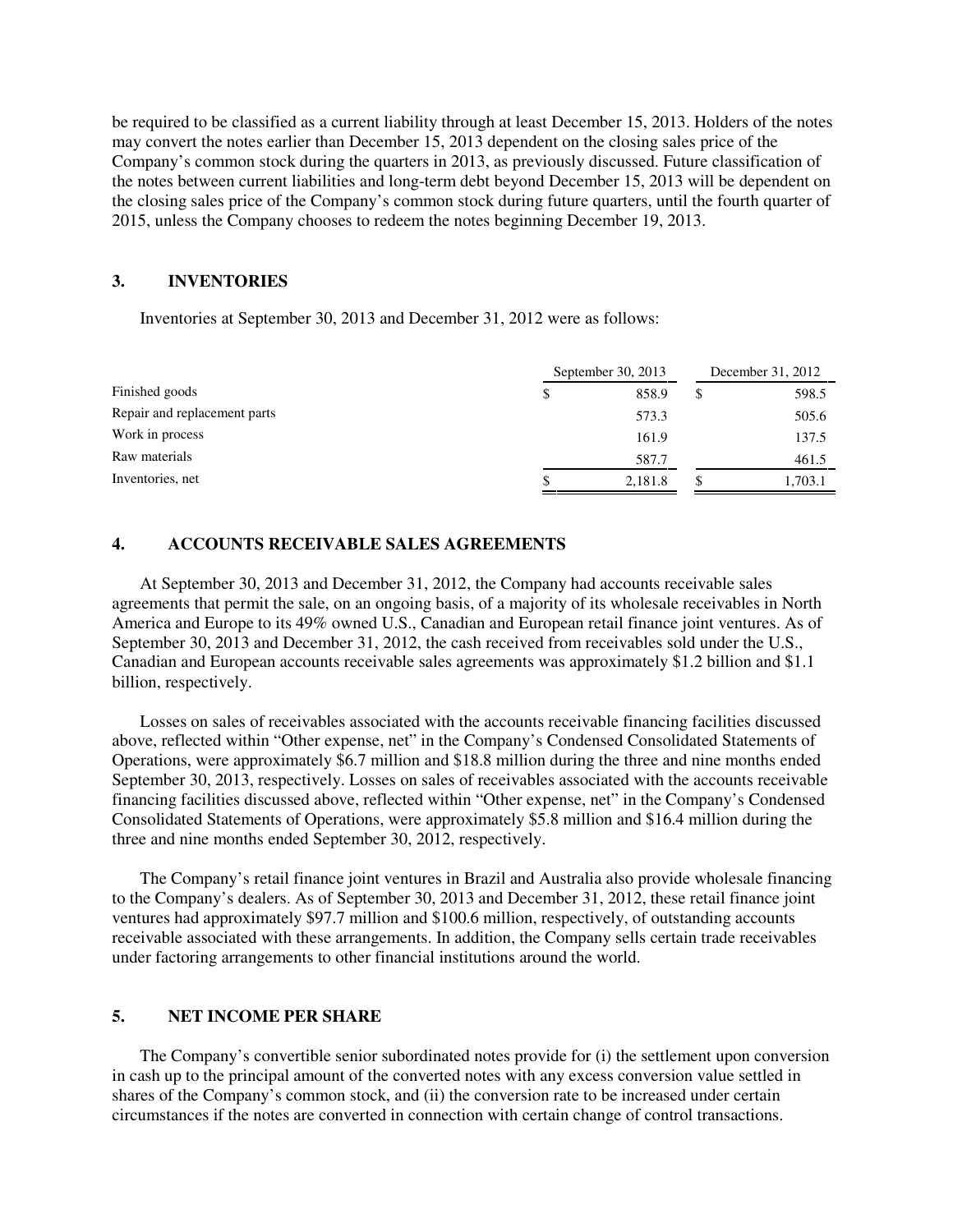be required to be classified as a current liability through at least December 15, 2013. Holders of the notes may convert the notes earlier than December 15, 2013 dependent on the closing sales price of the Company's common stock during the quarters in 2013, as previously discussed. Future classification of the notes between current liabilities and long-term debt beyond December 15, 2013 will be dependent on the closing sales price of the Company's common stock during future quarters, until the fourth quarter of 2015, unless the Company chooses to redeem the notes beginning December 19, 2013.

### **3. INVENTORIES**

Inventories at September 30, 2013 and December 31, 2012 were as follows:

|                              | September 30, 2013 | December 31, 2012 |   |         |
|------------------------------|--------------------|-------------------|---|---------|
| Finished goods               |                    | 858.9             | S | 598.5   |
| Repair and replacement parts |                    | 573.3             |   | 505.6   |
| Work in process              |                    | 161.9             |   | 137.5   |
| Raw materials                |                    | 587.7             |   | 461.5   |
| Inventories, net             |                    | 2,181.8           |   | 1,703.1 |

#### **4. ACCOUNTS RECEIVABLE SALES AGREEMENTS**

At September 30, 2013 and December 31, 2012, the Company had accounts receivable sales agreements that permit the sale, on an ongoing basis, of a majority of its wholesale receivables in North America and Europe to its 49% owned U.S., Canadian and European retail finance joint ventures. As of September 30, 2013 and December 31, 2012, the cash received from receivables sold under the U.S., Canadian and European accounts receivable sales agreements was approximately \$1.2 billion and \$1.1 billion, respectively.

 Losses on sales of receivables associated with the accounts receivable financing facilities discussed above, reflected within "Other expense, net" in the Company's Condensed Consolidated Statements of Operations, were approximately \$6.7 million and \$18.8 million during the three and nine months ended September 30, 2013, respectively. Losses on sales of receivables associated with the accounts receivable financing facilities discussed above, reflected within "Other expense, net" in the Company's Condensed Consolidated Statements of Operations, were approximately \$5.8 million and \$16.4 million during the three and nine months ended September 30, 2012, respectively.

The Company's retail finance joint ventures in Brazil and Australia also provide wholesale financing to the Company's dealers. As of September 30, 2013 and December 31, 2012, these retail finance joint ventures had approximately \$97.7 million and \$100.6 million, respectively, of outstanding accounts receivable associated with these arrangements. In addition, the Company sells certain trade receivables under factoring arrangements to other financial institutions around the world.

#### **5. NET INCOME PER SHARE**

The Company's convertible senior subordinated notes provide for (i) the settlement upon conversion in cash up to the principal amount of the converted notes with any excess conversion value settled in shares of the Company's common stock, and (ii) the conversion rate to be increased under certain circumstances if the notes are converted in connection with certain change of control transactions.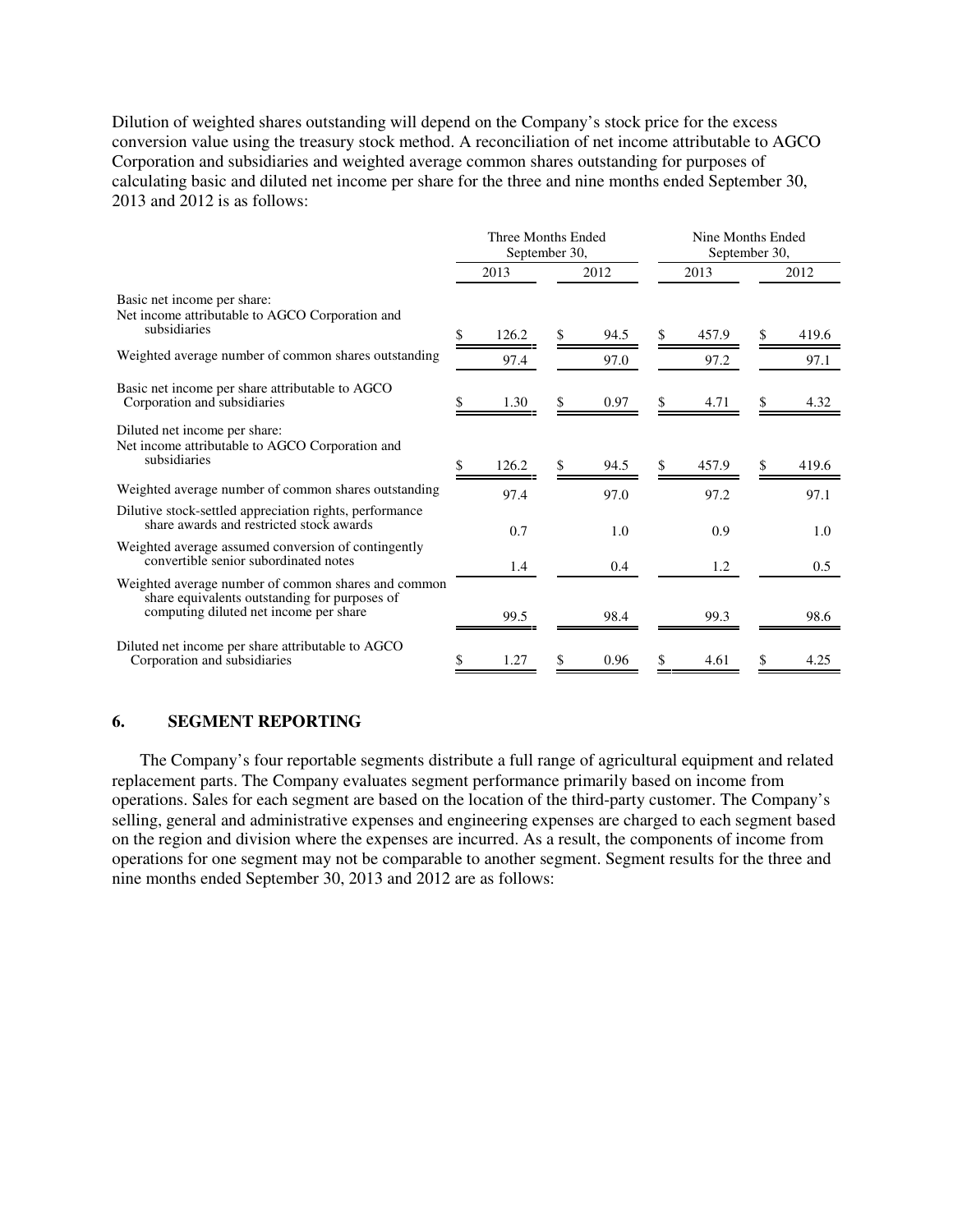Dilution of weighted shares outstanding will depend on the Company's stock price for the excess conversion value using the treasury stock method. A reconciliation of net income attributable to AGCO Corporation and subsidiaries and weighted average common shares outstanding for purposes of calculating basic and diluted net income per share for the three and nine months ended September 30, 2013 and 2012 is as follows:

|                                                                                                                                                | Three Months Ended<br>September 30, |       |    | Nine Months Ended<br>September 30, |             |    |       |
|------------------------------------------------------------------------------------------------------------------------------------------------|-------------------------------------|-------|----|------------------------------------|-------------|----|-------|
|                                                                                                                                                |                                     | 2013  |    | 2012                               | 2013        |    | 2012  |
| Basic net income per share:<br>Net income attributable to AGCO Corporation and<br>subsidiaries                                                 | \$                                  | 126.2 | \$ | 94.5                               | \$<br>457.9 | \$ | 419.6 |
| Weighted average number of common shares outstanding                                                                                           |                                     | 97.4  |    | 97.0                               | 97.2        |    | 97.1  |
| Basic net income per share attributable to AGCO<br>Corporation and subsidiaries                                                                |                                     | 1.30  |    | 0.97                               | \$<br>4.71  |    | 4.32  |
| Diluted net income per share:<br>Net income attributable to AGCO Corporation and<br>subsidiaries                                               | \$                                  | 126.2 | \$ | 94.5                               | \$<br>457.9 | \$ | 419.6 |
| Weighted average number of common shares outstanding                                                                                           |                                     | 97.4  |    | 97.0                               | 97.2        |    | 97.1  |
| Dilutive stock-settled appreciation rights, performance<br>share awards and restricted stock awards                                            |                                     | 0.7   |    | 1.0                                | 0.9         |    | 1.0   |
| Weighted average assumed conversion of contingently<br>convertible senior subordinated notes                                                   |                                     | 1.4   |    | 0.4                                | 1.2         |    | 0.5   |
| Weighted average number of common shares and common<br>share equivalents outstanding for purposes of<br>computing diluted net income per share |                                     | 99.5  |    | 98.4                               | 99.3        |    | 98.6  |
| Diluted net income per share attributable to AGCO<br>Corporation and subsidiaries                                                              | \$                                  | 1.27  |    | 0.96                               | \$<br>4.61  | \$ | 4.25  |

#### **6. SEGMENT REPORTING**

The Company's four reportable segments distribute a full range of agricultural equipment and related replacement parts. The Company evaluates segment performance primarily based on income from operations. Sales for each segment are based on the location of the third-party customer. The Company's selling, general and administrative expenses and engineering expenses are charged to each segment based on the region and division where the expenses are incurred. As a result, the components of income from operations for one segment may not be comparable to another segment. Segment results for the three and nine months ended September 30, 2013 and 2012 are as follows: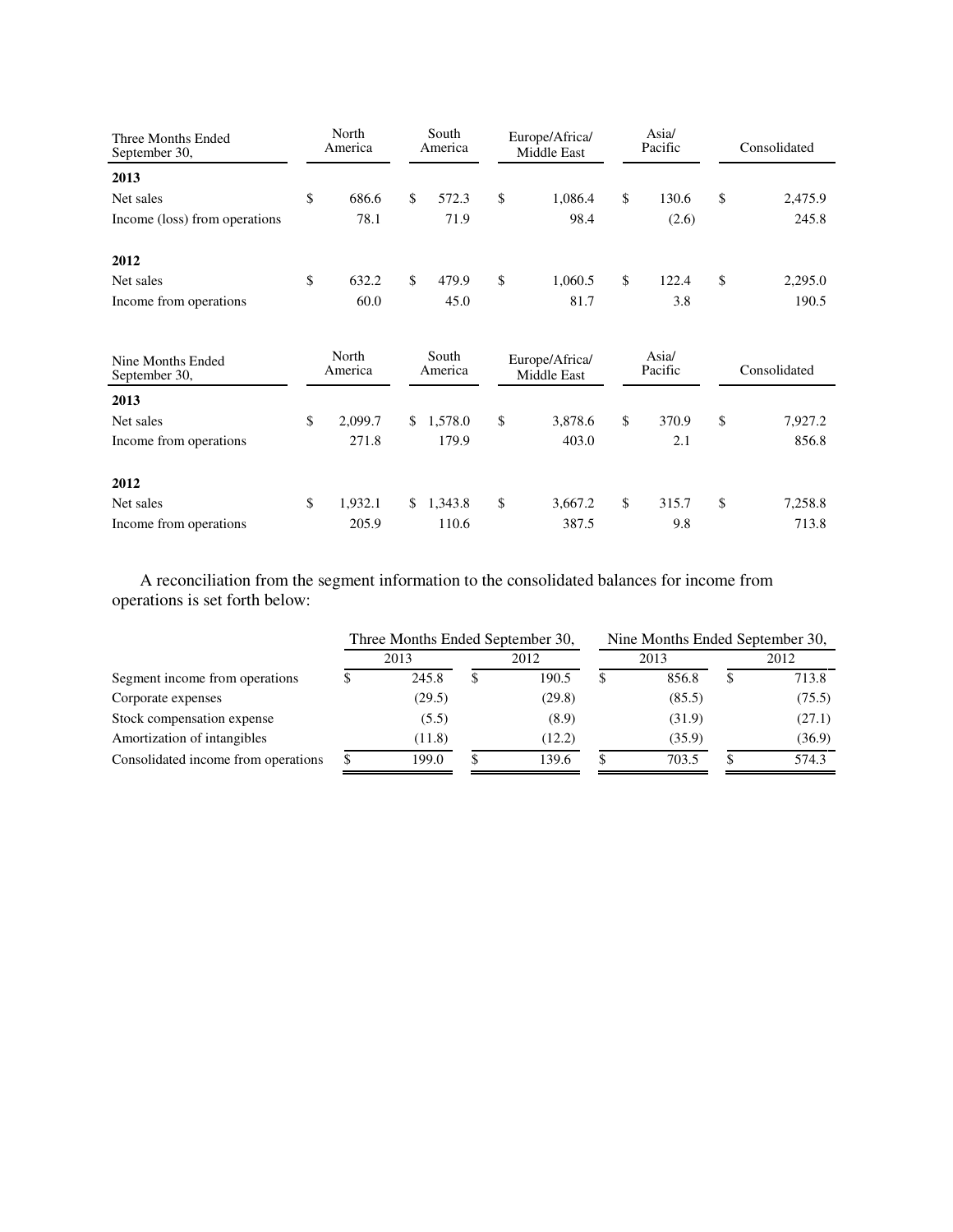| Three Months Ended<br>September 30, | North<br>America |     | South<br>America | Asia/<br>Europe/Africa/<br>Pacific<br>Middle East |         |    |       | Consolidated |         |
|-------------------------------------|------------------|-----|------------------|---------------------------------------------------|---------|----|-------|--------------|---------|
| 2013                                |                  |     |                  |                                                   |         |    |       |              |         |
| Net sales                           | \$<br>686.6      | S   | 572.3            | \$                                                | 1.086.4 | \$ | 130.6 | \$           | 2,475.9 |
| Income (loss) from operations       | 78.1             |     | 71.9             |                                                   | 98.4    |    | (2.6) |              | 245.8   |
| 2012                                |                  |     |                  |                                                   |         |    |       |              |         |
| Net sales                           | \$<br>632.2      | \$. | 479.9            | \$                                                | 1.060.5 | \$ | 122.4 | \$           | 2,295.0 |
| Income from operations              | 60.0             |     | 45.0             |                                                   | 81.7    |    | 3.8   |              | 190.5   |

| Nine Months Ended<br>September 30, | North<br>America |    | South<br>America | Europe/Africa/<br>Middle East |    | Asia/<br>Pacific |    | Consolidated |  |
|------------------------------------|------------------|----|------------------|-------------------------------|----|------------------|----|--------------|--|
| 2013                               |                  |    |                  |                               |    |                  |    |              |  |
| Net sales                          | \$<br>2.099.7    | S. | 1,578.0          | \$<br>3.878.6                 | \$ | 370.9            | \$ | 7,927.2      |  |
| Income from operations             | 271.8            |    | 179.9            | 403.0                         |    | 2.1              |    | 856.8        |  |
| 2012                               |                  |    |                  |                               |    |                  |    |              |  |
| Net sales                          | \$<br>1.932.1    | S. | 1,343.8          | \$<br>3.667.2                 | \$ | 315.7            | S  | 7,258.8      |  |
| Income from operations             | 205.9            |    | 110.6            | 387.5                         |    | 9.8              |    | 713.8        |  |

A reconciliation from the segment information to the consolidated balances for income from operations is set forth below:

|                                     | Three Months Ended September 30, |        |      |        | Nine Months Ended September 30, |        |      |        |  |
|-------------------------------------|----------------------------------|--------|------|--------|---------------------------------|--------|------|--------|--|
| Segment income from operations      | 2013                             |        | 2012 |        |                                 | 2013   | 2012 |        |  |
|                                     | S                                | 245.8  |      | 190.5  |                                 | 856.8  | \$   | 713.8  |  |
| Corporate expenses                  |                                  | (29.5) |      | (29.8) |                                 | (85.5) |      | (75.5) |  |
| Stock compensation expense          |                                  | (5.5)  |      | (8.9)  |                                 | (31.9) |      | (27.1) |  |
| Amortization of intangibles         |                                  | (11.8) |      | (12.2) |                                 | (35.9) |      | (36.9) |  |
| Consolidated income from operations | S                                | 199.0  |      | 139.6  |                                 | 703.5  |      | 574.3  |  |